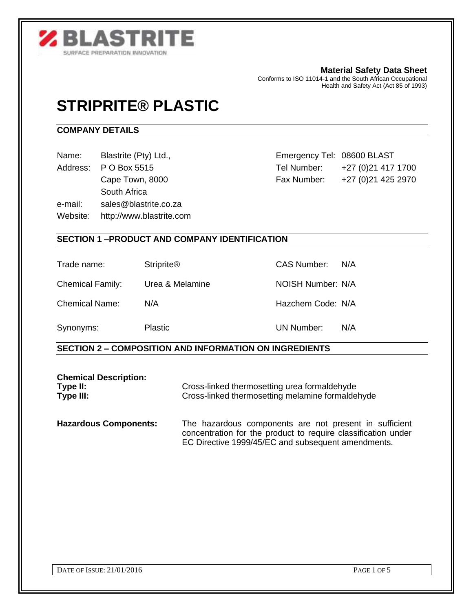

**Material Safety Data Sheet** Conforms to ISO 11014-1 and the South African Occupational

Health and Safety Act (Act 85 of 1993)

# **STRIPRITE® PLASTIC**

## **COMPANY DETAILS**

| Name: |  | Blastrite (Pty) Ltd., |
|-------|--|-----------------------|
|-------|--|-----------------------|

| Address: | P O Box 5515    |  |
|----------|-----------------|--|
|          | Cape Town, 8000 |  |

South Africa e-mail: sales@blastrite.co.za

Website: http://www.blastrite.com

Emergency Tel: 08600 BLAST Tel Number: +27 (0)21 417 1700 Fax Number:  $+27$  (0)21 425 2970

## **SECTION 1 –PRODUCT AND COMPANY IDENTIFICATION**

Trade name: Striprite® CAS Number: N/A

Chemical Family: Urea & Melamine NOISH Number: N/A

Chemical Name: N/A **Hazchem Code: N/A** Hazchem Code: N/A

Synonyms: Plastic **Plastic CON UN Number:** N/A

## **SECTION 2 – COMPOSITION AND INFORMATION ON INGREDIENTS**

| <b>Chemical Description:</b><br>Type II:<br>Type III: | Cross-linked thermosetting urea formaldehyde<br>Cross-linked thermosetting melamine formaldehyde                                                                              |
|-------------------------------------------------------|-------------------------------------------------------------------------------------------------------------------------------------------------------------------------------|
| <b>Hazardous Components:</b>                          | The hazardous components are not present in sufficient<br>concentration for the product to require classification under<br>EC Directive 1999/45/EC and subsequent amendments. |

DATE OF ISSUE: 21/01/2016 PAGE 1 OF 5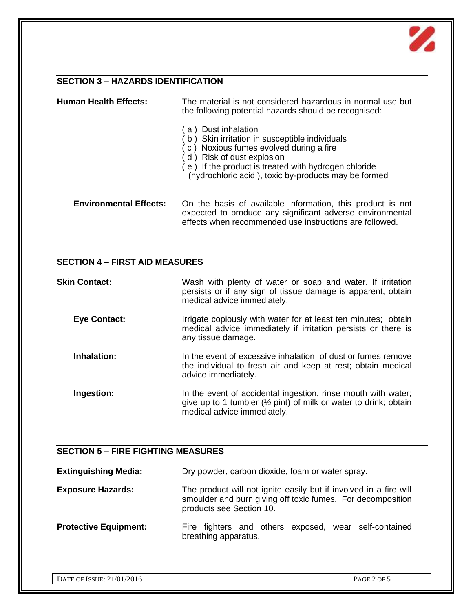

## **SECTION 3 – HAZARDS IDENTIFICATION**

| <b>Human Health Effects:</b>  | The material is not considered hazardous in normal use but<br>the following potential hazards should be recognised:                                                                                                                                       |
|-------------------------------|-----------------------------------------------------------------------------------------------------------------------------------------------------------------------------------------------------------------------------------------------------------|
|                               | a) Dust inhalation<br>b) Skin irritation in susceptible individuals<br>c) Noxious fumes evolved during a fire<br>d) Risk of dust explosion<br>e) If the product is treated with hydrogen chloride<br>(hydrochloric acid), toxic by-products may be formed |
| <b>Environmental Effects:</b> | On the basis of available information, this product is not<br>expected to produce any significant adverse environmental<br>effects when recommended use instructions are followed.                                                                        |

## **SECTION 4 – FIRST AID MEASURES**

| <b>Skin Contact:</b> | Wash with plenty of water or soap and water. If irritation<br>persists or if any sign of tissue damage is apparent, obtain<br>medical advice immediately.                    |
|----------------------|------------------------------------------------------------------------------------------------------------------------------------------------------------------------------|
| <b>Eye Contact:</b>  | Irrigate copiously with water for at least ten minutes; obtain<br>medical advice immediately if irritation persists or there is<br>any tissue damage.                        |
| Inhalation:          | In the event of excessive inhalation of dust or fumes remove<br>the individual to fresh air and keep at rest; obtain medical<br>advice immediately.                          |
| Ingestion:           | In the event of accidental ingestion, rinse mouth with water;<br>give up to 1 tumbler ( $\frac{1}{2}$ pint) of milk or water to drink; obtain<br>medical advice immediately. |

## **SECTION 5 – FIRE FIGHTING MEASURES**

| <b>Extinguishing Media:</b>  | Dry powder, carbon dioxide, foam or water spray.                                                                                                             |
|------------------------------|--------------------------------------------------------------------------------------------------------------------------------------------------------------|
| <b>Exposure Hazards:</b>     | The product will not ignite easily but if involved in a fire will<br>smoulder and burn giving off toxic fumes. For decomposition<br>products see Section 10. |
| <b>Protective Equipment:</b> | Fire fighters and others exposed, wear self-contained<br>breathing apparatus.                                                                                |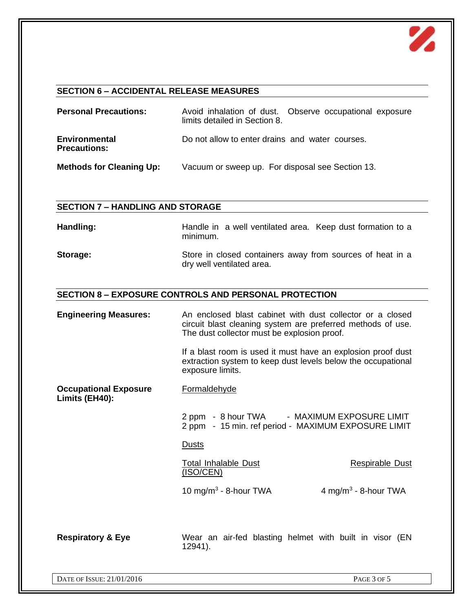

## **SECTION 6 – ACCIDENTAL RELEASE MEASURES**

| <b>Personal Precautions:</b>                | Avoid inhalation of dust. Observe occupational exposure<br>limits detailed in Section 8. |
|---------------------------------------------|------------------------------------------------------------------------------------------|
| <b>Environmental</b><br><b>Precautions:</b> | Do not allow to enter drains and water courses.                                          |
| <b>Methods for Cleaning Up:</b>             | Vacuum or sweep up. For disposal see Section 13.                                         |

#### **SECTION 7 – HANDLING AND STORAGE**

Handling: **Handle in a well ventilated area.** Keep dust formation to a minimum.

#### **Storage:** Store in closed containers away from sources of heat in a dry well ventilated area.

#### **SECTION 8 – EXPOSURE CONTROLS AND PERSONAL PROTECTION**

**Engineering Measures:** An enclosed blast cabinet with dust collector or a closed circuit blast cleaning system are preferred methods of use. The dust collector must be explosion proof.

> If a blast room is used it must have an explosion proof dust extraction system to keep dust levels below the occupational exposure limits.

**Occupational Exposure** Formaldehyde **Limits (EH40):**

> 2 ppm - 8 hour TWA - MAXIMUM EXPOSURE LIMIT 2 ppm - 15 min. ref period - MAXIMUM EXPOSURE LIMIT

#### Dusts

Total Inhalable Dust **Respirable Dust** (ISO/CEN)

 $10 \text{ mg/m}^3$  - 8-hour TWA 4 mg/m<sup>3</sup> 4 mg/m<sup>3</sup> - 8-hour TWA

**Respiratory & Eye** Wear an air-fed blasting helmet with built in visor (EN 12941).

DATE OF ISSUE: 21/01/2016 PAGE 3 OF 5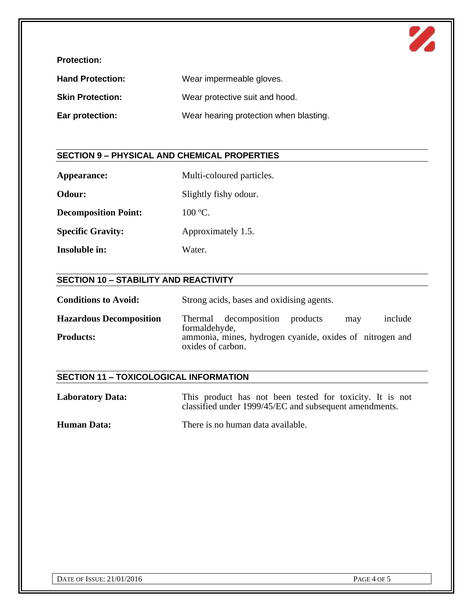

**Protection:**

| <b>Hand Protection:</b> | Wear impermeable gloves.               |
|-------------------------|----------------------------------------|
| <b>Skin Protection:</b> | Wear protective suit and hood.         |
| Ear protection:         | Wear hearing protection when blasting. |

## **SECTION 9 – PHYSICAL AND CHEMICAL PROPERTIES**

Appearance: Multi-coloured particles.

**Odour:** Slightly fishy odour.

**Decomposition Point:** 100 °C.

**Specific Gravity:** Approximately 1.5.

**Insoluble in:** Water.

## **SECTION 10 – STABILITY AND REACTIVITY**

| <b>Conditions to Avoid:</b>    | Strong acids, bases and oxidising agents.                                     |
|--------------------------------|-------------------------------------------------------------------------------|
| <b>Hazardous Decomposition</b> | include<br>Thermal decomposition<br>products<br>may<br>formaldehyde,          |
| <b>Products:</b>               | ammonia, mines, hydrogen cyanide, oxides of nitrogen and<br>oxides of carbon. |

### **SECTION 11 – TOXICOLOGICAL INFORMATION**

Laboratory Data: This product has not been tested for toxicity. It is not classified under 1999/45/EC and subsequent amendments.

**Human Data:** There is no human data available.